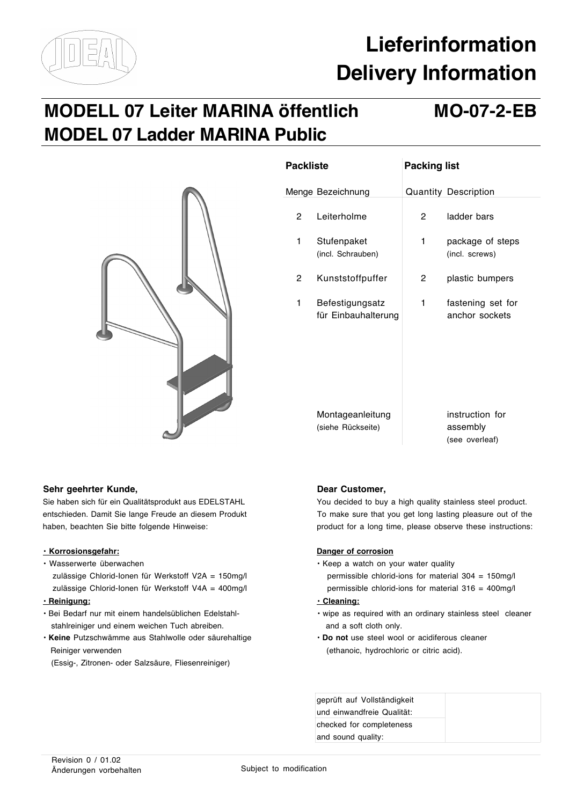

# **Lieferinformation Delivery Information**

# **MODELL 07 Leiter MARINA öffentlich MO-07-2-EB MODEL 07 Ladder MARINA Public**



| <b>Packliste</b> |                                        | <b>Packing list</b> |                                               |
|------------------|----------------------------------------|---------------------|-----------------------------------------------|
|                  | Menge Bezeichnung                      |                     | Quantity Description                          |
| 2                | Leiterholme                            | 2                   | ladder bars                                   |
| 1                | Stufenpaket<br>(incl. Schrauben)       | 1                   | package of steps<br>(incl. screws)            |
| 2                | Kunststoffpuffer                       | 2                   | plastic bumpers                               |
| 1                | Befestigungsatz<br>für Einbauhalterung | 1                   | fastening set for<br>anchor sockets           |
|                  | Montageanleitung<br>(siehe Rückseite)  |                     | instruction for<br>assembly<br>(see overleaf) |

## Sehr geehrter Kunde, **Dear Customer, Dear Customer**,

- 
- zulässige Chlorid-Ionen für Werkstoff V2A = 150mg/l permissible chlorid-ions for material 304 = 150mg/l zulässige Chlorid-Ionen für Werkstoff V4A = 400mg/l permissible chlorid-ions for material 316 = 400mg/l **• Reinigung: • Cleaning:**
- 
- stahlreiniger und einem weichen Tuch abreiben. **Abreiben and a soft cloth only.** And a soft cloth only.
- **Keine** Putzschwämme aus Stahlwolle oder säurehaltige **Do not** use steel wool or acidiferous cleaner Reiniger verwenden (ethanoic, hydrochloric or citric acid).
	- (Essig-, Zitronen- oder Salzsäure, Fliesenreiniger)

Sie haben sich für ein Qualitätsprodukt aus EDELSTAHL You decided to buy a high quality stainless steel product. entschieden. Damit Sie lange Freude an diesem Produkt To make sure that you get long lasting pleasure out of the haben, beachten Sie bitte folgende Hinweise: product for a long time, please observe these instructions:

## **• Korrosionsgefahr: Danger of corrosion**

- Wasserwerte überwachen Keep a watch on your water quality Keep a watch on your water quality
	-

- Bei Bedarf nur mit einem handelsüblichen Edelstahl- wipe as required with an ordinary stainless steel cleaner
	-

| geprüft auf Vollständigkeit |  |  |
|-----------------------------|--|--|
| und einwandfreie Qualität:  |  |  |
| checked for completeness    |  |  |
| and sound quality:          |  |  |